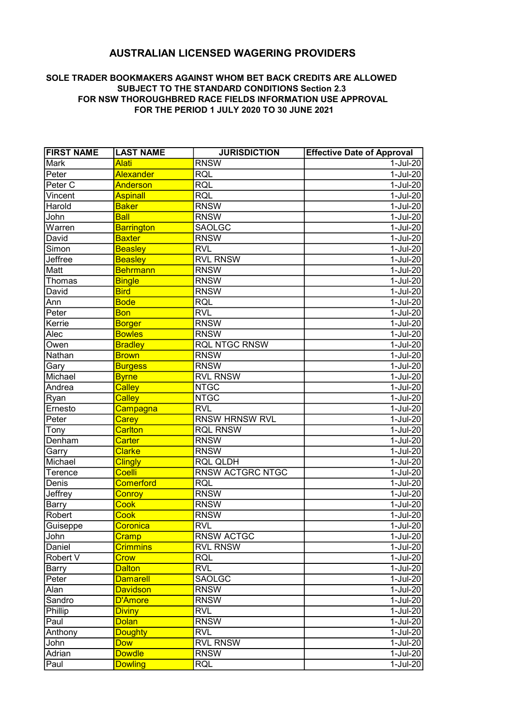## AUSTRALIAN LICENSED WAGERING PROVIDERS

## SOLE TRADER BOOKMAKERS AGAINST WHOM BET BACK CREDITS ARE ALLOWED SUBJECT TO THE STANDARD CONDITIONS Section 2.3 FOR NSW THOROUGHBRED RACE FIELDS INFORMATION USE APPROVAL FOR THE PERIOD 1 JULY 2020 TO 30 JUNE 2021

| <b>FIRST NAME</b>            | <b>LAST NAME</b>  | <b>JURISDICTION</b>   | <b>Effective Date of Approval</b> |
|------------------------------|-------------------|-----------------------|-----------------------------------|
| Mark                         | <b>Alati</b>      | <b>RNSW</b>           | $1-Jul-20$                        |
| Peter                        | Alexander         | <b>RQL</b>            | 1-Jul-20                          |
| Peter <sub>C</sub>           | Anderson          | <b>RQL</b>            | 1-Jul-20                          |
| Vincent                      | <b>Aspinall</b>   | <b>RQL</b>            | 1-Jul-20                          |
| Harold                       | <b>Baker</b>      | <b>RNSW</b>           | $1$ -Jul-20                       |
| John                         | <b>Ball</b>       | <b>RNSW</b>           | 1-Jul-20                          |
| $\overline{\text{War}}$ ren  | <b>Barrington</b> | <b>SAOLGC</b>         | 1-Jul-20                          |
| David                        | <b>Baxter</b>     | <b>RNSW</b>           | $1-JuI-20$                        |
| Simon                        | <b>Beasley</b>    | <b>RVL</b>            | 1-Jul-20                          |
| Jeffree                      | <b>Beasley</b>    | <b>RVL RNSW</b>       | 1-Jul-20                          |
| Matt                         | Behrmann          | <b>RNSW</b>           | 1-Jul-20                          |
| Thomas                       | <b>Bingle</b>     | <b>RNSW</b>           | 1-Jul-20                          |
| David                        | <b>Bird</b>       | <b>RNSW</b>           | 1-Jul-20                          |
| Ann                          | <b>Bode</b>       | <b>RQL</b>            | 1-Jul-20                          |
| $\overline{\mathsf{P}}$ eter | <b>Bon</b>        | <b>RVL</b>            | 1-Jul-20                          |
| Kerrie                       | <b>Borger</b>     | <b>RNSW</b>           | $1$ -Jul-20                       |
| Alec                         | <b>Bowles</b>     | <b>RNSW</b>           | 1-Jul-20                          |
| Owen                         | <b>Bradley</b>    | <b>RQL NTGC RNSW</b>  | $1-Jul-20$                        |
| Nathan                       | <b>Brown</b>      | <b>RNSW</b>           | $1-Jul-20$                        |
| Gary                         | <b>Burgess</b>    | <b>RNSW</b>           | 1-Jul-20                          |
| Michael                      | <b>Byrne</b>      | <b>RVL RNSW</b>       | 1-Jul-20                          |
| Andrea                       | <b>Calley</b>     | <b>NTGC</b>           | $1-Jul-20$                        |
| $\overline{\mathsf{R}$ yan   | <b>Calley</b>     | <b>NTGC</b>           | $1-Jul-20$                        |
| Ernesto                      | Campagna          | RVI                   | $1-Jul-20$                        |
| Peter                        | <b>Carey</b>      | <b>RNSW HRNSW RVL</b> | $1-Jul-20$                        |
| $\bar{\bm{\mathsf{T}}}$ ony  | <b>Carlton</b>    | <b>RQL RNSW</b>       | $1-Jul-20$                        |
| Denham                       | <b>Carter</b>     | <b>RNSW</b>           | $1-Jul-20$                        |
| Garry                        | <b>Clarke</b>     | <b>RNSW</b>           | $1-Jul-20$                        |
| Michael                      | <b>Clingly</b>    | <b>RQL QLDH</b>       | 1-Jul-20                          |
| Terence                      | <b>Coelli</b>     | RNSW ACTGRC NTGC      | 1-Jul-20                          |
| Denis                        | <b>Comerford</b>  | <b>RQL</b>            | 1-Jul-20                          |
| Jeffrey                      | <b>Conroy</b>     | <b>RNSW</b>           | $1-Jul-20$                        |
| Barry                        | <b>Cook</b>       | <b>RNSW</b>           | $1-Jul-20$                        |
| Robert                       | <b>Cook</b>       | <b>RNSW</b>           | $1-Jul-20$                        |
| Guiseppe                     | Coronica          | <b>RVL</b>            | 1-Jul-20                          |
| John                         | Cramp             | <b>RNSW ACTGC</b>     | 1-Jul-20                          |
| Daniel                       | <b>Crimmins</b>   | <b>RVL RNSW</b>       | 1-Jul-20                          |
| Robert V                     | <b>Crow</b>       | <b>RQL</b>            | $1$ -Jul-20                       |
| Barr <u>y</u>                | <b>Dalton</b>     | <b>RVL</b>            | $1-Jul-20$                        |
| Peter                        | <b>Damarell</b>   | <b>SAOLGC</b>         | $1-Jul-20$                        |
| Alan                         | <b>Davidson</b>   | <b>RNSW</b>           | $1-Jul-20$                        |
| Sandro                       | D'Amore           | <b>RNSW</b>           | $1-Jul-20$                        |
| Phillip                      | <b>Diviny</b>     | <b>RVL</b>            | $1-Jul-20$                        |
| Paul                         | <b>Dolan</b>      | <b>RNSW</b>           | 1-Jul-20                          |
| Anthony                      | <b>Doughty</b>    | <b>RVL</b>            | 1-Jul-20                          |
| John                         | <b>Dow</b>        | <b>RVL RNSW</b>       | $1-Jul-20$                        |
| Adrian                       | <b>Dowdle</b>     | <b>RNSW</b>           | $1-Jul-20$                        |
| Paul                         | <b>Dowling</b>    | <b>RQL</b>            | $1-Jul-20$                        |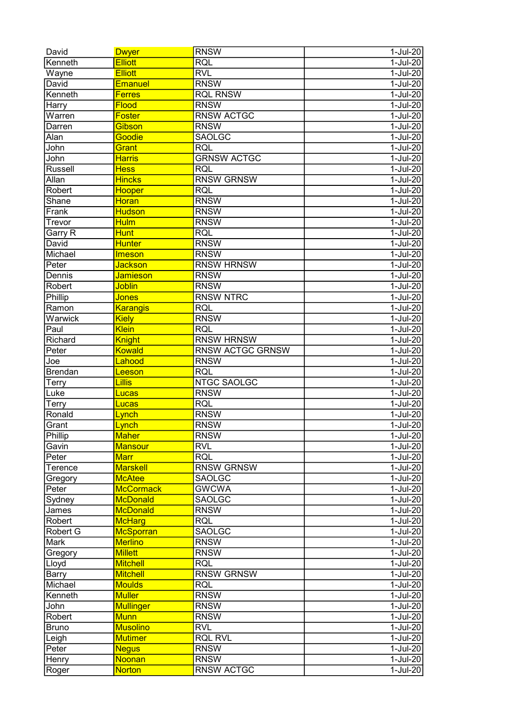| David        | <b>Dwyer</b>     | <b>RNSW</b>             | $1-Jul-20$  |
|--------------|------------------|-------------------------|-------------|
| Kenneth      | <b>Elliott</b>   | <b>RQL</b>              | $1-Jul-20$  |
| Wayne        | <b>Elliott</b>   | <b>RVL</b>              | $1-Jul-20$  |
| David        | Emanuel          | <b>RNSW</b>             | $1-Jul-20$  |
| Kenneth      | <b>Ferres</b>    | <b>RQL RNSW</b>         | $1-Jul-20$  |
| Harry        | Flood            | <b>RNSW</b>             | $1-Jul-20$  |
| Warren       | <b>Foster</b>    | <b>RNSW ACTGC</b>       | 1-Jul-20    |
| Darren       | Gibson           | <b>RNSW</b>             | 1-Jul-20    |
| Alan         | Goodie           | <b>SAOLGC</b>           | $1-Jul-20$  |
| John         | Grant            | <b>RQL</b>              | $1-Jul-20$  |
| John         | <b>Harris</b>    | <b>GRNSW ACTGC</b>      | 1-Jul-20    |
| Russell      | <b>Hess</b>      | <b>RQL</b>              | $1-Jul-20$  |
| Allan        | <b>Hincks</b>    | <b>RNSW GRNSW</b>       | 1-Jul-20    |
| Robert       | Hooper           | <b>RQL</b>              | 1-Jul-20    |
| Shane        | <b>Horan</b>     | <b>RNSW</b>             | 1-Jul-20    |
| Frank        | <b>Hudson</b>    | <b>RNSW</b>             | 1-Jul-20    |
| Trevor       | <b>Hulm</b>      | <b>RNSW</b>             | 1-Jul-20    |
| Garry R      | <b>Hunt</b>      | <b>RQL</b>              | 1-Jul-20    |
| David        | <b>Hunter</b>    | <b>RNSW</b>             | $1-Jul-20$  |
| Michael      | <b>Imeson</b>    | <b>RNSW</b>             | $1-Jul-20$  |
| Peter        | Jackson          | <b>RNSW HRNSW</b>       | $1-Jul-20$  |
| Dennis       | <b>Jamieson</b>  | <b>RNSW</b>             | $1-Jul-20$  |
| Robert       | <b>Joblin</b>    | <b>RNSW</b>             | $1-Jul-20$  |
| Phillip      | Jones            | <b>RNSW NTRC</b>        | $1-Jul-20$  |
| Ramon        | <b>Karangis</b>  | <b>RQL</b>              | $1-Jul-20$  |
| Warwick      | <b>Kiely</b>     | <b>RNSW</b>             | $1-Jul-20$  |
| Paul         | Klein            | <b>RQL</b>              | $1-Jul-20$  |
| Richard      | <b>Knight</b>    | <b>RNSW HRNSW</b>       | $1-Jul-20$  |
| Peter        | <b>Kowald</b>    | <b>RNSW ACTGC GRNSW</b> | $1-Jul-20$  |
| Joe          | Lahood           | <b>RNSW</b>             | $1-Jul-20$  |
| Brendan      | Leeson           | <b>RQL</b>              | $1-Jul-20$  |
| <b>Terry</b> | Lillis           | <b>NTGC SAOLGC</b>      | 1-Jul-20    |
| Luke         | Lucas            | <b>RNSW</b>             | $1-Jul-20$  |
| <b>Terry</b> | Lucas            | <b>RQL</b>              | $1-Jul-20$  |
| Ronald       | Lynch            | <b>RNSW</b>             | $1-Jul-20$  |
| Grant        | Lynch            | <b>RNSW</b>             | $1-Jul-20$  |
| Phillip      | <b>Maher</b>     | <b>RNSW</b>             | $1-Jul-20$  |
| Gavin        | <b>Mansour</b>   | <b>RVL</b>              | $1-Jul-20$  |
| Peter        | <b>Marr</b>      | <b>RQL</b>              | 1-Jul-20    |
| Terence      | <b>Marskell</b>  | <b>RNSW GRNSW</b>       | 1-Jul-20    |
| Gregory      | <b>McAtee</b>    | <b>SAOLGC</b>           | 1-Jul-20    |
| Peter        | <b>McCormack</b> | <b>GWCWA</b>            | $1-Jul-20$  |
| Sydney       | <b>McDonald</b>  | <b>SAOLGC</b>           | $1-Jul-20$  |
| James        | <b>McDonald</b>  | <b>RNSW</b>             | 1-Jul-20    |
| Robert       | <b>McHarg</b>    | <b>RQL</b>              | 1-Jul-20    |
| Robert G     | McSporran        | <b>SAOLGC</b>           | 1-Jul-20    |
| Mark         | <b>Merlino</b>   | <b>RNSW</b>             | 1-Jul-20    |
| Gregory      | <b>Millett</b>   | <b>RNSW</b>             | 1-Jul-20    |
| Lloyd        | <b>Mitchell</b>  | <b>RQL</b>              | 1-Jul-20    |
| Barry        | <b>Mitchell</b>  | <b>RNSW GRNSW</b>       | $1-Jul-20$  |
| Michael      | <b>Moulds</b>    | <b>RQL</b>              | $1-Jul-20$  |
| Kenneth      | <b>Muller</b>    | <b>RNSW</b>             | $1-Jul-20$  |
| John         | <b>Mullinger</b> | <b>RNSW</b>             | 1-Jul-20    |
| Robert       | <b>Munn</b>      | <b>RNSW</b>             | $1-Jul-20$  |
| <b>Bruno</b> | <b>Musolino</b>  | <b>RVL</b>              | 1-Jul-20    |
| Leigh        | <b>Mutimer</b>   | <b>RQL RVL</b>          | $1$ -Jul-20 |
| Peter        | <b>Negus</b>     | <b>RNSW</b>             | $1$ -Jul-20 |
| Henry        | <b>Noonan</b>    | <b>RNSW</b>             | $1$ -Jul-20 |
| Roger        | <b>Norton</b>    | <b>RNSW ACTGC</b>       | $1-Jul-20$  |